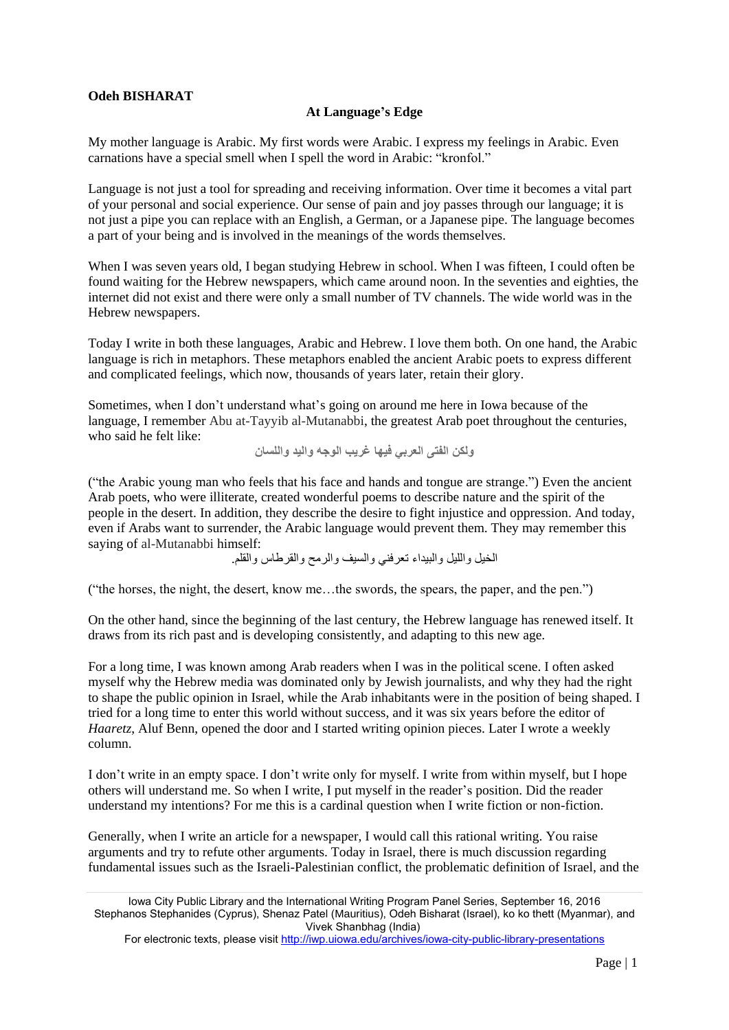## **Odeh BISHARAT**

## **At Language's Edge**

My mother language is Arabic. My first words were Arabic. I express my feelings in Arabic. Even carnations have a special smell when I spell the word in Arabic: "kronfol."

Language is not just a tool for spreading and receiving information. Over time it becomes a vital part of your personal and social experience. Our sense of pain and joy passes through our language; it is not just a pipe you can replace with an English, a German, or a Japanese pipe. The language becomes a part of your being and is involved in the meanings of the words themselves.

When I was seven years old, I began studying Hebrew in school. When I was fifteen, I could often be found waiting for the Hebrew newspapers, which came around noon. In the seventies and eighties, the internet did not exist and there were only a small number of TV channels. The wide world was in the Hebrew newspapers.

Today I write in both these languages, Arabic and Hebrew. I love them both. On one hand, the Arabic language is rich in metaphors. These metaphors enabled the ancient Arabic poets to express different and complicated feelings, which now, thousands of years later, retain their glory.

Sometimes, when I don't understand what's going on around me here in Iowa because of the language, I remember Abu at-Tayyib al-Mutanabbi, the greatest Arab poet throughout the centuries, who said he felt like:

**ولكن الفتى العربي فيها غريب الوجه واليد واللسان**

("the Arabic young man who feels that his face and hands and tongue are strange.") Even the ancient Arab poets, who were illiterate, created wonderful poems to describe nature and the spirit of the people in the desert. In addition, they describe the desire to fight injustice and oppression. And today, even if Arabs want to surrender, the Arabic language would prevent them. They may remember this saying of al-Mutanabbi himself:

الخيل والليل والبيداء تعرفني والسيف والرمح والقرطاس والقلم.

("the horses, the night, the desert, know me…the swords, the spears, the paper, and the pen.")

On the other hand, since the beginning of the last century, the Hebrew language has renewed itself. It draws from its rich past and is developing consistently, and adapting to this new age.

For a long time, I was known among Arab readers when I was in the political scene. I often asked myself why the Hebrew media was dominated only by Jewish journalists, and why they had the right to shape the public opinion in Israel, while the Arab inhabitants were in the position of being shaped. I tried for a long time to enter this world without success, and it was six years before the editor of *Haaretz*, Aluf Benn, opened the door and I started writing opinion pieces. Later I wrote a weekly column.

I don't write in an empty space. I don't write only for myself. I write from within myself, but I hope others will understand me. So when I write, I put myself in the reader's position. Did the reader understand my intentions? For me this is a cardinal question when I write fiction or non-fiction.

Generally, when I write an article for a newspaper, I would call this rational writing. You raise arguments and try to refute other arguments. Today in Israel, there is much discussion regarding fundamental issues such as the Israeli-Palestinian conflict, the problematic definition of Israel, and the

Iowa City Public Library and the International Writing Program Panel Series, September 16, 2016 Stephanos Stephanides (Cyprus), Shenaz Patel (Mauritius), Odeh Bisharat (Israel), ko ko thett (Myanmar), and Vivek Shanbhag (India)

For electronic texts, please visit <http://iwp.uiowa.edu/archives/iowa-city-public-library-presentations>